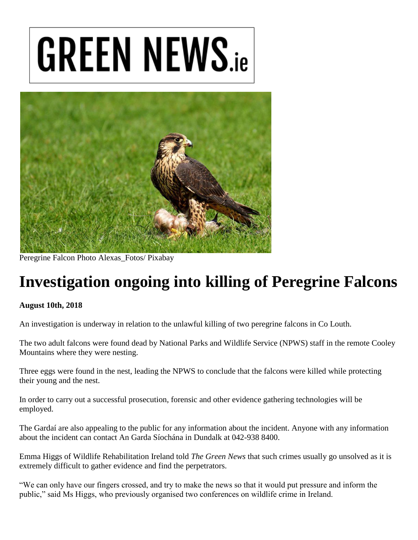## **GREEN NEWS.ie**



Peregrine Falcon Photo Alexas\_Fotos/ Pixabay

## **Investigation ongoing into killing of Peregrine Falcons**

## **August 10th, 2018**

An investigation is underway in relation to the unlawful killing of two peregrine falcons in Co Louth.

The two adult falcons were found dead by National Parks and Wildlife Service (NPWS) staff in the remote Cooley Mountains where they were nesting.

Three eggs were found in the nest, leading the NPWS to conclude that the falcons were killed while protecting their young and the nest.

In order to carry out a successful prosecution, forensic and other evidence gathering technologies will be employed.

The Gardaí are also appealing to the public for any information about the incident. Anyone with any information about the incident can contact An Garda Síochána in Dundalk at 042-938 8400.

Emma Higgs of Wildlife Rehabilitation Ireland told *The Green News* that such crimes usually go unsolved as it is extremely difficult to gather evidence and find the perpetrators.

"We can only have our fingers crossed, and try to make the news so that it would put pressure and inform the public," said Ms Higgs, who previously organised two conferences on wildlife crime in Ireland.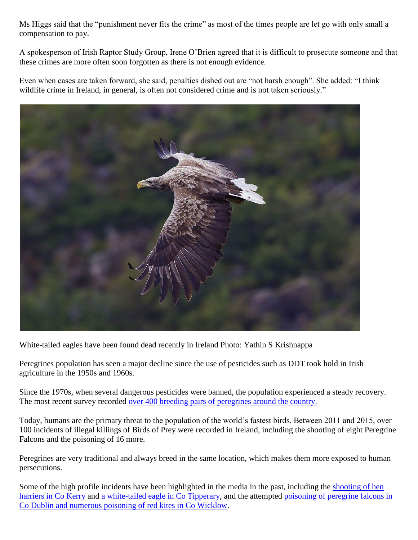Ms Higgs said that the "punishment never fits the crime" as most of the times people are let go with only small a compensation to pay.

A spokesperson of Irish Raptor Study Group, Irene O'Brien agreed that it is difficult to prosecute someone and that these crimes are more often soon forgotten as there is not enough evidence.

Even when cases are taken forward, she said, penalties dished out are "not harsh enough". She added: "I think wildlife crime in Ireland, in general, is often not considered crime and is not taken seriously."



White-tailed eagles have been found dead recently in Ireland Photo: Yathin S Krishnappa

Peregrines population has seen a major decline since the use of pesticides such as DDT took hold in Irish agriculture in the 1950s and 1960s.

Since the 1970s, when several dangerous pesticides were banned, the population experienced a steady recovery. The most recent survey recorded [over 400 breeding pairs of peregrines around the country.](https://www.irishtimes.com/news/science/flying-high-peregrine-falcons-return-to-irish-skies-1.3339249)

Today, humans are the primary threat to the population of the world's fastest birds. Between 2011 and 2015, over 100 incidents of illegal killings of Birds of Prey were recorded in Ireland, including the shooting of eight Peregrine Falcons and the poisoning of 16 more.

Peregrines are very traditional and always breed in the same location, which makes them more exposed to human persecutions.

Some of the high profile incidents have been highlighted in the media in the past, including the [shooting of hen](https://www.birdwatchireland.ie/News/HenHarriershotdeadinCountyKerry/tabid/1435/Default.aspx)  [harriers in Co Kerry](https://www.birdwatchireland.ie/News/HenHarriershotdeadinCountyKerry/tabid/1435/Default.aspx) and [a white-tailed eagle in Co Tipperary,](https://www.irishtimes.com/news/environment/one-of-only-two-irish-bred-white-tailed-eagles-shot-and-killed-1.1713647) and the attempted [poisoning of peregrine falcons in](https://www.irishtimes.com/news/environment/record-number-of-birds-of-prey-were-poisoned-last-year-1.2870938)  [Co Dublin and numerous poisoning of red kites in Co Wicklow.](https://www.irishtimes.com/news/environment/record-number-of-birds-of-prey-were-poisoned-last-year-1.2870938)